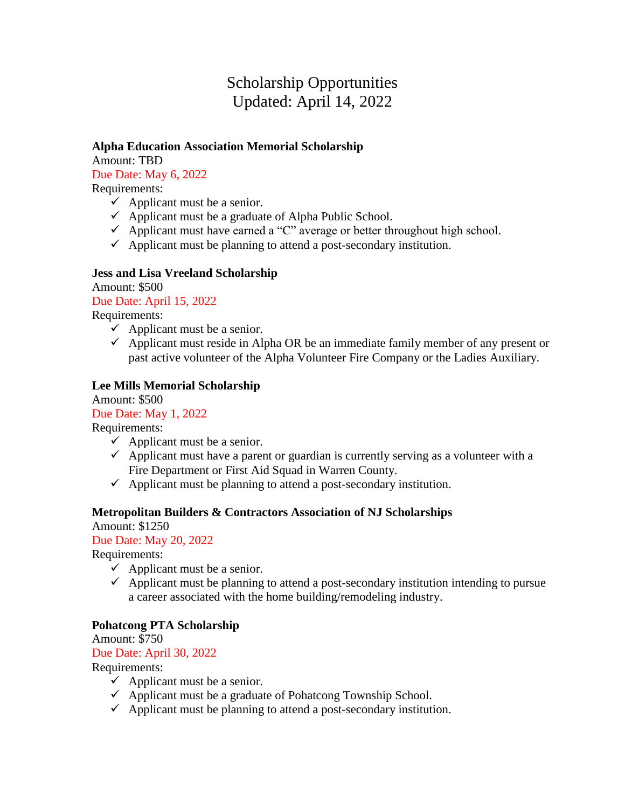# Scholarship Opportunities Updated: April 14, 2022

#### **Alpha Education Association Memorial Scholarship**

Amount: TBD Due Date: May 6, 2022

Requirements:

- $\checkmark$  Applicant must be a senior.
- $\checkmark$  Applicant must be a graduate of Alpha Public School.
- $\checkmark$  Applicant must have earned a "C" average or better throughout high school.
- $\checkmark$  Applicant must be planning to attend a post-secondary institution.

# **Jess and Lisa Vreeland Scholarship**

Amount: \$500 Due Date: April 15, 2022

Requirements:

- $\checkmark$  Applicant must be a senior.
- $\checkmark$  Applicant must reside in Alpha OR be an immediate family member of any present or past active volunteer of the Alpha Volunteer Fire Company or the Ladies Auxiliary.

# **Lee Mills Memorial Scholarship**

Amount: \$500

## Due Date: May 1, 2022

Requirements:

- $\checkmark$  Applicant must be a senior.
- $\checkmark$  Applicant must have a parent or guardian is currently serving as a volunteer with a Fire Department or First Aid Squad in Warren County.
- $\checkmark$  Applicant must be planning to attend a post-secondary institution.

## **Metropolitan Builders & Contractors Association of NJ Scholarships**

Amount: \$1250

## Due Date: May 20, 2022

Requirements:

- $\checkmark$  Applicant must be a senior.
- $\checkmark$  Applicant must be planning to attend a post-secondary institution intending to pursue a career associated with the home building/remodeling industry.

## **Pohatcong PTA Scholarship**

Amount: \$750

Due Date: April 30, 2022

Requirements:

- $\checkmark$  Applicant must be a senior.
- $\checkmark$  Applicant must be a graduate of Pohatcong Township School.
- $\checkmark$  Applicant must be planning to attend a post-secondary institution.